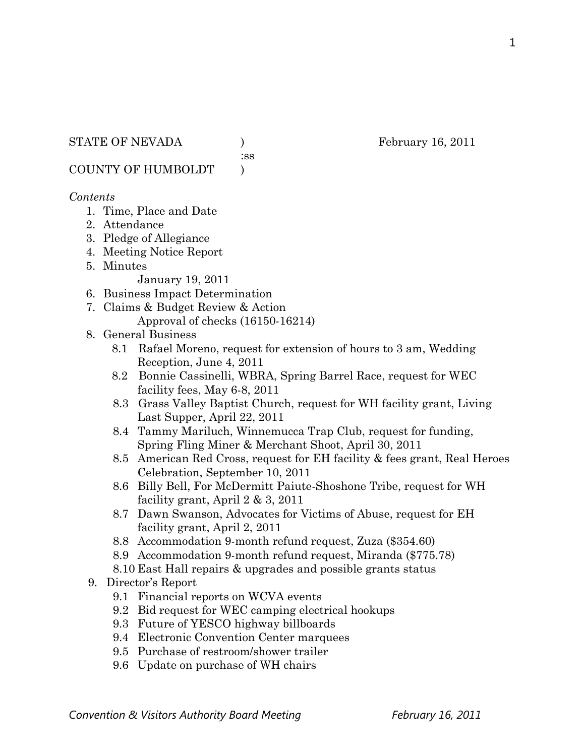#### STATE OF NEVADA ) February 16, 2011

:ss

COUNTY OF HUMBOLDT )

#### *Contents*

- 1. Time, Place and Date
- 2. Attendance
- 3. Pledge of Allegiance
- 4. Meeting Notice Report
- 5. Minutes

January 19, 2011

- 6. Business Impact Determination
- 7. Claims & Budget Review & Action Approval of checks (16150-16214)

### 8. General Business

- 8.1 Rafael Moreno, request for extension of hours to 3 am, Wedding Reception, June 4, 2011
- 8.2 Bonnie Cassinelli, WBRA, Spring Barrel Race, request for WEC facility fees, May 6-8, 2011
- 8.3 Grass Valley Baptist Church, request for WH facility grant, Living Last Supper, April 22, 2011
- 8.4 Tammy Mariluch, Winnemucca Trap Club, request for funding, Spring Fling Miner & Merchant Shoot, April 30, 2011
- 8.5 American Red Cross, request for EH facility & fees grant, Real Heroes Celebration, September 10, 2011
- 8.6 Billy Bell, For McDermitt Paiute-Shoshone Tribe, request for WH facility grant, April 2 & 3, 2011
- 8.7 Dawn Swanson, Advocates for Victims of Abuse, request for EH facility grant, April 2, 2011
- 8.8 Accommodation 9-month refund request, Zuza (\$354.60)
- 8.9 Accommodation 9-month refund request, Miranda (\$775.78)
- 8.10 East Hall repairs & upgrades and possible grants status
- 9. Director's Report
	- 9.1 Financial reports on WCVA events
	- 9.2 Bid request for WEC camping electrical hookups
	- 9.3 Future of YESCO highway billboards
	- 9.4 Electronic Convention Center marquees
	- 9.5 Purchase of restroom/shower trailer
	- 9.6 Update on purchase of WH chairs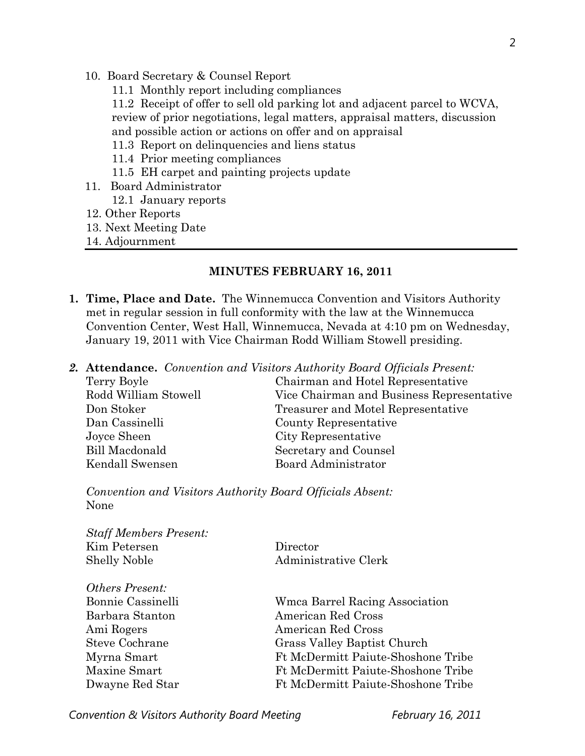- 10. Board Secretary & Counsel Report
	- 11.1 Monthly report including compliances
	- 11.2 Receipt of offer to sell old parking lot and adjacent parcel to WCVA, review of prior negotiations, legal matters, appraisal matters, discussion and possible action or actions on offer and on appraisal
	- 11.3 Report on delinquencies and liens status
	- 11.4 Prior meeting compliances
	- 11.5 EH carpet and painting projects update
- 11. Board Administrator 12.1 January reports
- 12. Other Reports
- 13. Next Meeting Date
- 14. Adjournment

#### 1B**MINUTES FEBRUARY 16, 2011**

- **1. Time, Place and Date.** The Winnemucca Convention and Visitors Authority met in regular session in full conformity with the law at the Winnemucca Convention Center, West Hall, Winnemucca, Nevada at 4:10 pm on Wednesday, January 19, 2011 with Vice Chairman Rodd William Stowell presiding.
- *2.* **Attendance.** *Convention and Visitors Authority Board Officials Present:*

| Terry Boyle           | Chairman and Hotel Representative         |  |
|-----------------------|-------------------------------------------|--|
| Rodd William Stowell  | Vice Chairman and Business Representative |  |
| Don Stoker            | Treasurer and Motel Representative        |  |
| Dan Cassinelli        | County Representative                     |  |
| Joyce Sheen           | City Representative                       |  |
| <b>Bill Macdonald</b> | Secretary and Counsel                     |  |
| Kendall Swensen       | Board Administrator                       |  |
|                       |                                           |  |

*Convention and Visitors Authority Board Officials Absent:*  None

| <b>Staff Members Present:</b> |                                           |  |
|-------------------------------|-------------------------------------------|--|
| Kim Petersen                  | Director                                  |  |
| <b>Shelly Noble</b>           | Administrative Clerk                      |  |
| <i>Others Present:</i>        |                                           |  |
| Bonnie Cassinelli             | <b>Wmca Barrel Racing Association</b>     |  |
| Barbara Stanton               | American Red Cross                        |  |
| Ami Rogers                    | American Red Cross                        |  |
| <b>Steve Cochrane</b>         | Grass Valley Baptist Church               |  |
| Myrna Smart                   | Ft McDermitt Paiute-Shoshone Tribe        |  |
| Maxine Smart                  | Ft McDermitt Paiute-Shoshone Tribe        |  |
| Dwayne Red Star               | <b>Ft McDermitt Paiute-Shoshone Tribe</b> |  |
|                               |                                           |  |

**Convention & Visitors Authority Board Meeting February 16, 2011**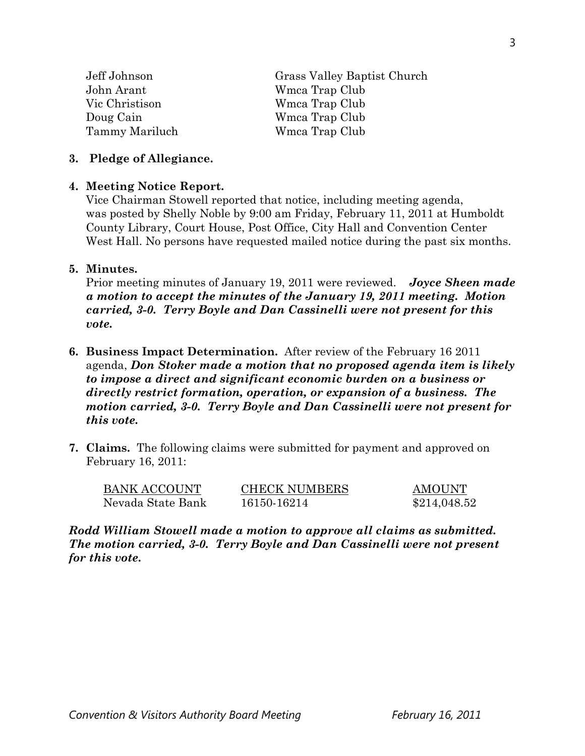| Jeff Johnson   | Grass Valley Baptist Church |  |
|----------------|-----------------------------|--|
| John Arant     | Wmca Trap Club              |  |
| Vic Christison | Wmca Trap Club              |  |
| Doug Cain      | Wmca Trap Club              |  |
| Tammy Mariluch | Wmca Trap Club              |  |
|                |                             |  |

#### **3. Pledge of Allegiance.**

#### **4. Meeting Notice Report.**

Vice Chairman Stowell reported that notice, including meeting agenda, was posted by Shelly Noble by 9:00 am Friday, February 11, 2011 at Humboldt County Library, Court House, Post Office, City Hall and Convention Center West Hall. No persons have requested mailed notice during the past six months.

#### **5. Minutes.**

Prior meeting minutes of January 19, 2011 were reviewed. *Joyce Sheen made a motion to accept the minutes of the January 19, 2011 meeting. Motion carried, 3-0. Terry Boyle and Dan Cassinelli were not present for this vote.* 

- **6. Business Impact Determination.** After review of the February 16 2011 agenda, *Don Stoker made a motion that no proposed agenda item is likely to impose a direct and significant economic burden on a business or directly restrict formation, operation, or expansion of a business. The motion carried, 3-0. Terry Boyle and Dan Cassinelli were not present for this vote.*
- **7. Claims.** The following claims were submitted for payment and approved on February 16, 2011:

| <b>BANK ACCOUNT</b> | <b>CHECK NUMBERS</b> | AMOUNT       |
|---------------------|----------------------|--------------|
| Nevada State Bank   | 16150-16214          | \$214,048.52 |

*Rodd William Stowell made a motion to approve all claims as submitted. The motion carried, 3-0. Terry Boyle and Dan Cassinelli were not present for this vote.*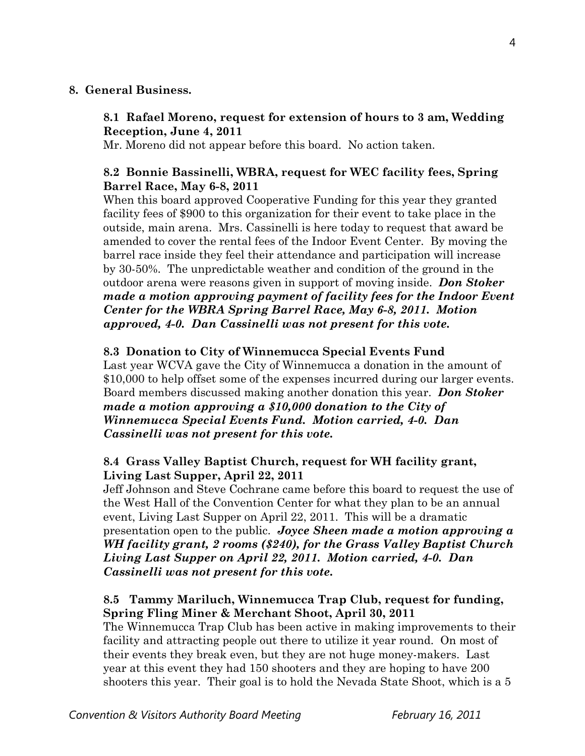### **8. General Business.**

## **8.1 Rafael Moreno, request for extension of hours to 3 am, Wedding Reception, June 4, 2011**

Mr. Moreno did not appear before this board. No action taken.

## **8.2 Bonnie Bassinelli, WBRA, request for WEC facility fees, Spring Barrel Race, May 6-8, 2011**

When this board approved Cooperative Funding for this year they granted facility fees of \$900 to this organization for their event to take place in the outside, main arena. Mrs. Cassinelli is here today to request that award be amended to cover the rental fees of the Indoor Event Center. By moving the barrel race inside they feel their attendance and participation will increase by 30-50%. The unpredictable weather and condition of the ground in the outdoor arena were reasons given in support of moving inside. *Don Stoker made a motion approving payment of facility fees for the Indoor Event Center for the WBRA Spring Barrel Race, May 6-8, 2011. Motion approved, 4-0. Dan Cassinelli was not present for this vote.* 

## **8.3 Donation to City of Winnemucca Special Events Fund**

Last year WCVA gave the City of Winnemucca a donation in the amount of \$10,000 to help offset some of the expenses incurred during our larger events. Board members discussed making another donation this year. *Don Stoker made a motion approving a \$10,000 donation to the City of Winnemucca Special Events Fund. Motion carried, 4-0. Dan Cassinelli was not present for this vote.* 

## **8.4 Grass Valley Baptist Church, request for WH facility grant, Living Last Supper, April 22, 2011**

Jeff Johnson and Steve Cochrane came before this board to request the use of the West Hall of the Convention Center for what they plan to be an annual event, Living Last Supper on April 22, 2011. This will be a dramatic presentation open to the public. *Joyce Sheen made a motion approving a WH facility grant, 2 rooms (\$240), for the Grass Valley Baptist Church Living Last Supper on April 22, 2011. Motion carried, 4-0. Dan Cassinelli was not present for this vote.* 

## **8.5 Tammy Mariluch, Winnemucca Trap Club, request for funding, Spring Fling Miner & Merchant Shoot, April 30, 2011**

The Winnemucca Trap Club has been active in making improvements to their facility and attracting people out there to utilize it year round. On most of their events they break even, but they are not huge money-makers. Last year at this event they had 150 shooters and they are hoping to have 200 shooters this year. Their goal is to hold the Nevada State Shoot, which is a 5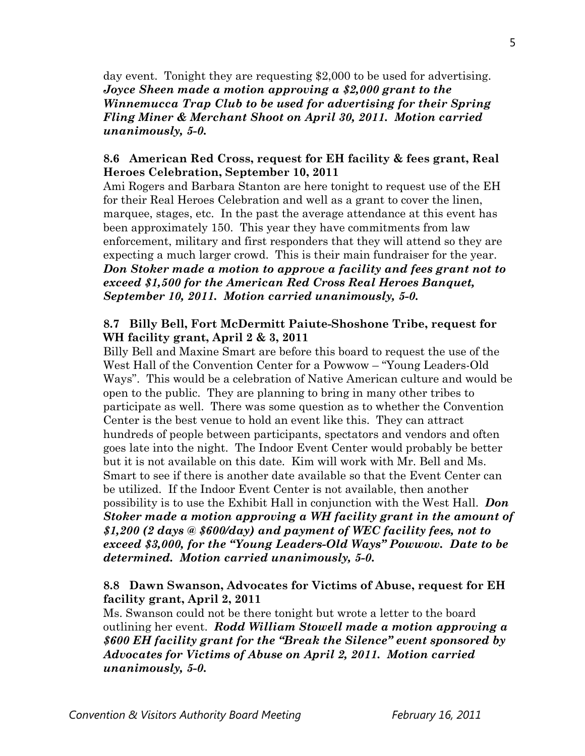day event. Tonight they are requesting \$2,000 to be used for advertising. *Joyce Sheen made a motion approving a \$2,000 grant to the Winnemucca Trap Club to be used for advertising for their Spring Fling Miner & Merchant Shoot on April 30, 2011. Motion carried unanimously, 5-0.* 

### **8.6 American Red Cross, request for EH facility & fees grant, Real Heroes Celebration, September 10, 2011**

Ami Rogers and Barbara Stanton are here tonight to request use of the EH for their Real Heroes Celebration and well as a grant to cover the linen, marquee, stages, etc. In the past the average attendance at this event has been approximately 150. This year they have commitments from law enforcement, military and first responders that they will attend so they are expecting a much larger crowd. This is their main fundraiser for the year. *Don Stoker made a motion to approve a facility and fees grant not to exceed \$1,500 for the American Red Cross Real Heroes Banquet, September 10, 2011. Motion carried unanimously, 5-0.* 

### **8.7 Billy Bell, Fort McDermitt Paiute-Shoshone Tribe, request for WH facility grant, April 2 & 3, 2011**

Billy Bell and Maxine Smart are before this board to request the use of the West Hall of the Convention Center for a Powwow – "Young Leaders-Old Ways". This would be a celebration of Native American culture and would be open to the public. They are planning to bring in many other tribes to participate as well. There was some question as to whether the Convention Center is the best venue to hold an event like this. They can attract hundreds of people between participants, spectators and vendors and often goes late into the night. The Indoor Event Center would probably be better but it is not available on this date. Kim will work with Mr. Bell and Ms. Smart to see if there is another date available so that the Event Center can be utilized. If the Indoor Event Center is not available, then another possibility is to use the Exhibit Hall in conjunction with the West Hall. *Don Stoker made a motion approving a WH facility grant in the amount of \$1,200 (2 days @ \$600/day) and payment of WEC facility fees, not to exceed \$3,000, for the "Young Leaders-Old Ways" Powwow. Date to be determined. Motion carried unanimously, 5-0.* 

## **8.8 Dawn Swanson, Advocates for Victims of Abuse, request for EH facility grant, April 2, 2011**

Ms. Swanson could not be there tonight but wrote a letter to the board outlining her event. *Rodd William Stowell made a motion approving a \$600 EH facility grant for the "Break the Silence" event sponsored by Advocates for Victims of Abuse on April 2, 2011. Motion carried unanimously, 5-0.*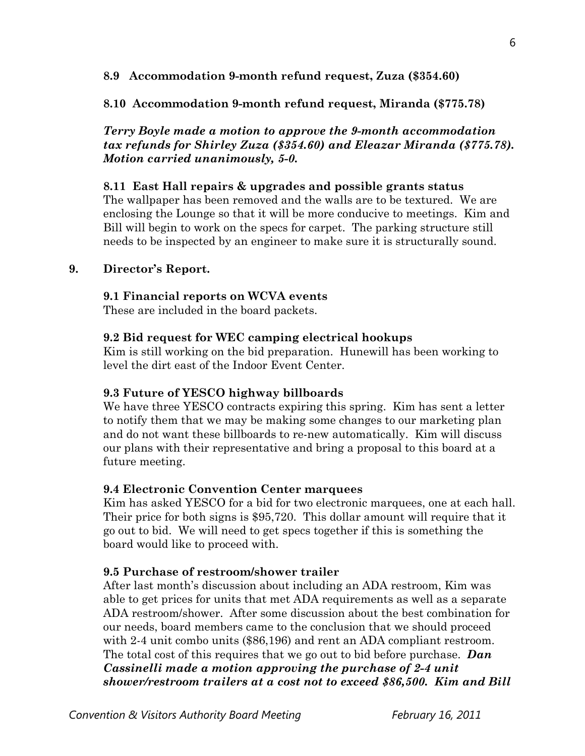### **8.9 Accommodation 9-month refund request, Zuza (\$354.60)**

### **8.10 Accommodation 9-month refund request, Miranda (\$775.78)**

*Terry Boyle made a motion to approve the 9-month accommodation tax refunds for Shirley Zuza (\$354.60) and Eleazar Miranda (\$775.78). Motion carried unanimously, 5-0.*

### **8.11 East Hall repairs & upgrades and possible grants status**

The wallpaper has been removed and the walls are to be textured. We are enclosing the Lounge so that it will be more conducive to meetings. Kim and Bill will begin to work on the specs for carpet. The parking structure still needs to be inspected by an engineer to make sure it is structurally sound.

### **9. Director's Report.**

### **9.1 Financial reports on WCVA events**

These are included in the board packets.

### **9.2 Bid request for WEC camping electrical hookups**

Kim is still working on the bid preparation. Hunewill has been working to level the dirt east of the Indoor Event Center.

### **9.3 Future of YESCO highway billboards**

We have three YESCO contracts expiring this spring. Kim has sent a letter to notify them that we may be making some changes to our marketing plan and do not want these billboards to re-new automatically. Kim will discuss our plans with their representative and bring a proposal to this board at a future meeting.

### **9.4 Electronic Convention Center marquees**

Kim has asked YESCO for a bid for two electronic marquees, one at each hall. Their price for both signs is \$95,720. This dollar amount will require that it go out to bid. We will need to get specs together if this is something the board would like to proceed with.

## **9.5 Purchase of restroom/shower trailer**

After last month's discussion about including an ADA restroom, Kim was able to get prices for units that met ADA requirements as well as a separate ADA restroom/shower. After some discussion about the best combination for our needs, board members came to the conclusion that we should proceed with 2-4 unit combo units (\$86,196) and rent an ADA compliant restroom. The total cost of this requires that we go out to bid before purchase. *Dan Cassinelli made a motion approving the purchase of 2-4 unit shower/restroom trailers at a cost not to exceed \$86,500. Kim and Bill*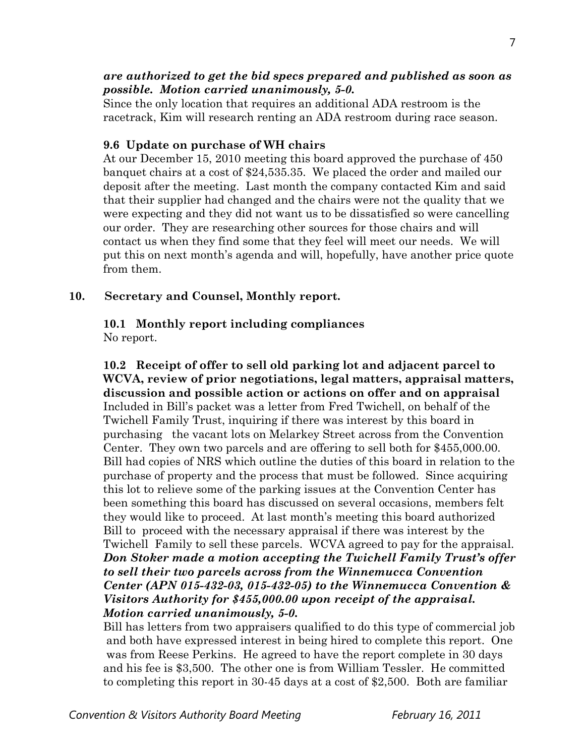### *are authorized to get the bid specs prepared and published as soon as possible. Motion carried unanimously, 5-0.*

Since the only location that requires an additional ADA restroom is the racetrack, Kim will research renting an ADA restroom during race season.

### **9.6 Update on purchase of WH chairs**

At our December 15, 2010 meeting this board approved the purchase of 450 banquet chairs at a cost of \$24,535.35. We placed the order and mailed our deposit after the meeting. Last month the company contacted Kim and said that their supplier had changed and the chairs were not the quality that we were expecting and they did not want us to be dissatisfied so were cancelling our order. They are researching other sources for those chairs and will contact us when they find some that they feel will meet our needs. We will put this on next month's agenda and will, hopefully, have another price quote from them.

### **10. Secretary and Counsel, Monthly report.**

#### **10.1 Monthly report including compliances**  No report.

 **10.2 Receipt of offer to sell old parking lot and adjacent parcel to WCVA, review of prior negotiations, legal matters, appraisal matters, discussion and possible action or actions on offer and on appraisal** Included in Bill's packet was a letter from Fred Twichell, on behalf of the Twichell Family Trust, inquiring if there was interest by this board in purchasing the vacant lots on Melarkey Street across from the Convention Center. They own two parcels and are offering to sell both for \$455,000.00. Bill had copies of NRS which outline the duties of this board in relation to the purchase of property and the process that must be followed. Since acquiring this lot to relieve some of the parking issues at the Convention Center has been something this board has discussed on several occasions, members felt they would like to proceed. At last month's meeting this board authorized Bill to proceed with the necessary appraisal if there was interest by the Twichell Family to sell these parcels. WCVA agreed to pay for the appraisal. *Don Stoker made a motion accepting the Twichell Family Trust's offer to sell their two parcels across from the Winnemucca Convention Center (APN 015-432-03, 015-432-05) to the Winnemucca Convention & Visitors Authority for \$455,000.00 upon receipt of the appraisal. Motion carried unanimously, 5-0.* 

Bill has letters from two appraisers qualified to do this type of commercial job and both have expressed interest in being hired to complete this report. One was from Reese Perkins. He agreed to have the report complete in 30 days and his fee is \$3,500. The other one is from William Tessler. He committed to completing this report in 30-45 days at a cost of \$2,500. Both are familiar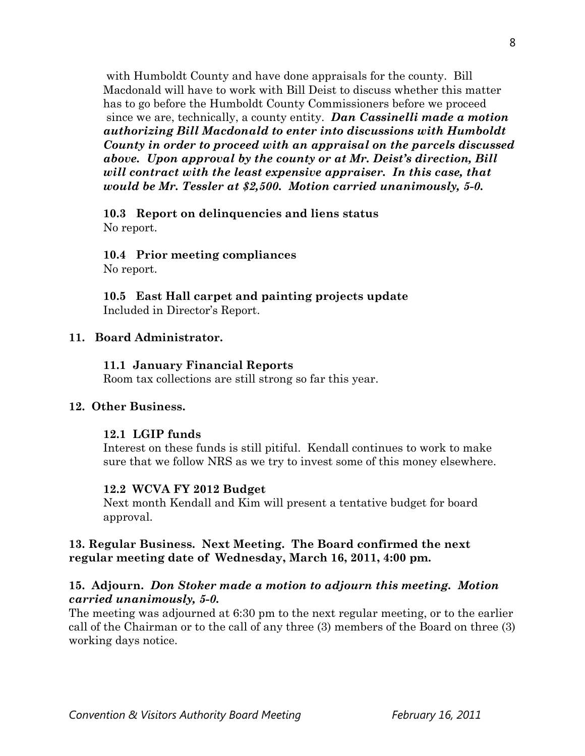with Humboldt County and have done appraisals for the county. Bill Macdonald will have to work with Bill Deist to discuss whether this matter has to go before the Humboldt County Commissioners before we proceed since we are, technically, a county entity. *Dan Cassinelli made a motion authorizing Bill Macdonald to enter into discussions with Humboldt County in order to proceed with an appraisal on the parcels discussed above. Upon approval by the county or at Mr. Deist's direction, Bill will contract with the least expensive appraiser. In this case, that would be Mr. Tessler at \$2,500. Motion carried unanimously, 5-0.* 

### **10.3 Report on delinquencies and liens status**  No report.

# **10.4 Prior meeting compliances**

No report.

**10.5 East Hall carpet and painting projects update**  Included in Director's Report.

## **11. Board Administrator.**

## **11.1 January Financial Reports**

Room tax collections are still strong so far this year.

## **12. Other Business.**

## **12.1 LGIP funds**

Interest on these funds is still pitiful. Kendall continues to work to make sure that we follow NRS as we try to invest some of this money elsewhere.

## **12.2 WCVA FY 2012 Budget**

Next month Kendall and Kim will present a tentative budget for board approval.

## **13. Regular Business. Next Meeting. The Board confirmed the next regular meeting date of Wednesday, March 16, 2011, 4:00 pm.**

## **15. Adjourn.** *Don Stoker made a motion to adjourn this meeting. Motion carried unanimously, 5-0.*

The meeting was adjourned at 6:30 pm to the next regular meeting, or to the earlier call of the Chairman or to the call of any three (3) members of the Board on three (3) working days notice.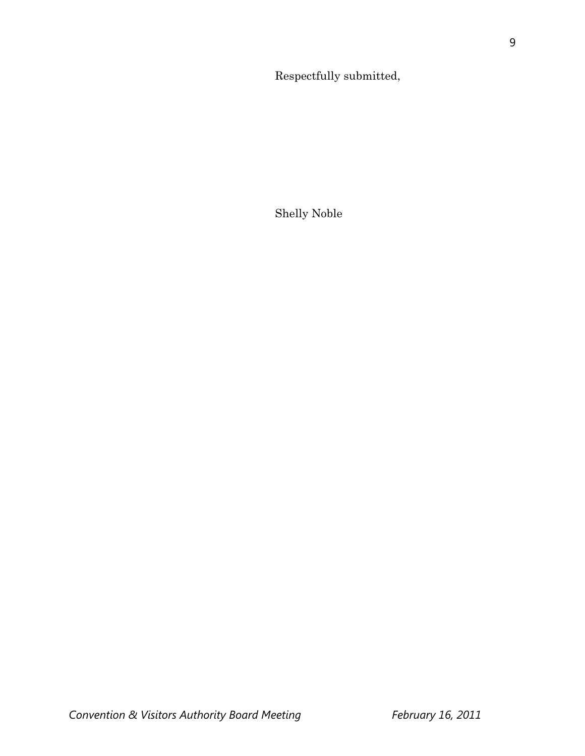9

Respectfully submitted,

Shelly Noble